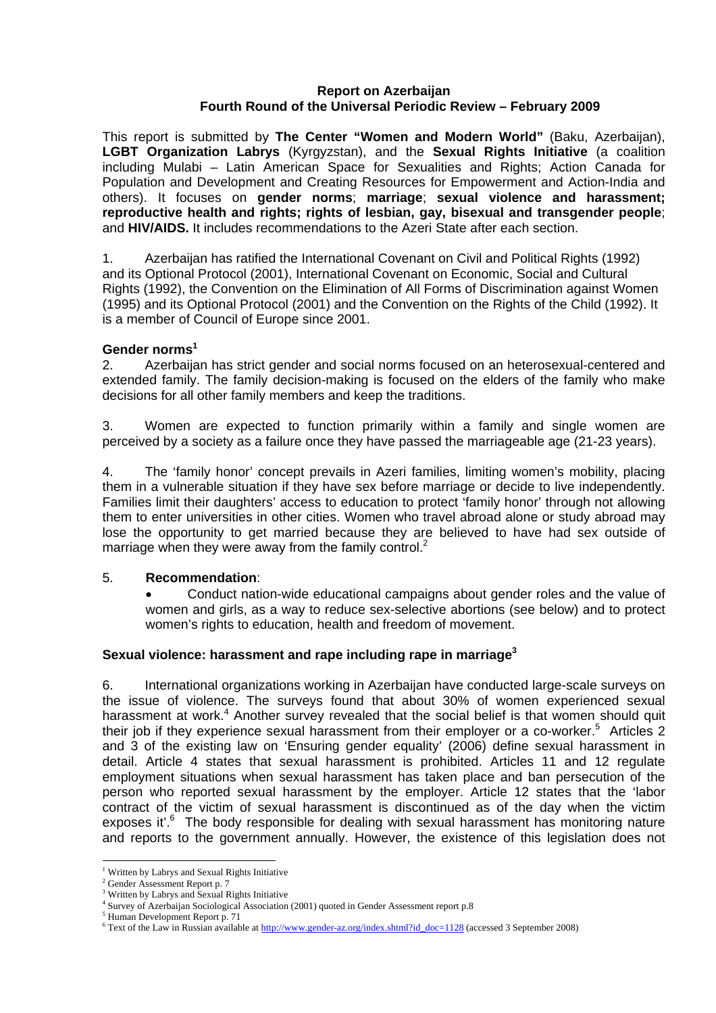#### **Report on Azerbaijan Fourth Round of the Universal Periodic Review – February 2009**

This report is submitted by **The Center "Women and Modern World"** (Baku, Azerbaijan), **LGBT Organization Labrys** (Kyrgyzstan), and the **Sexual Rights Initiative** (a coalition including Mulabi – Latin American Space for Sexualities and Rights; Action Canada for Population and Development and Creating Resources for Empowerment and Action-India and others). It focuses on **gender norms**; **marriage**; **sexual violence and harassment; reproductive health and rights; rights of lesbian, gay, bisexual and transgender people**; and **HIV/AIDS.** It includes recommendations to the Azeri State after each section.

1. Azerbaijan has ratified the International Covenant on Civil and Political Rights (1992) and its Optional Protocol (2001), International Covenant on Economic, Social and Cultural Rights (1992), the Convention on the Elimination of All Forms of Discrimination against Women (1995) and its Optional Protocol (2001) and the Convention on the Rights of the Child (1992). It is a member of Council of Europe since 2001.

## **Gender norms<sup>1</sup>**

2. Azerbaijan has strict gender and social norms focused on an heterosexual-centered and extended family. The family decision-making is focused on the elders of the family who make decisions for all other family members and keep the traditions.

3. Women are expected to function primarily within a family and single women are perceived by a society as a failure once they have passed the marriageable age (21-23 years).

4. The 'family honor' concept prevails in Azeri families, limiting women's mobility, placing them in a vulnerable situation if they have sex before marriage or decide to live independently. Families limit their daughters' access to education to protect 'family honor' through not allowing them to enter universities in other cities. Women who travel abroad alone or study abroad may lose the opportunity to get married because they are believed to have had sex outside of marriage when they were away from the family control. $2$ 

## 5. **Recommendation**:

• Conduct nation-wide educational campaigns about gender roles and the value of women and girls, as a way to reduce sex-selective abortions (see below) and to protect women's rights to education, health and freedom of movement.

# **Sexual violence: harassment and rape including rape in marriage3**

6. International organizations working in Azerbaijan have conducted large-scale surveys on the issue of violence. The surveys found that about 30% of women experienced sexual harassment at work.<sup>4</sup> Another survey revealed that the social belief is that women should quit their job if they experience sexual harassment from their employer or a co-worker.<sup>5</sup> Articles 2 and 3 of the existing law on 'Ensuring gender equality' (2006) define sexual harassment in detail. Article 4 states that sexual harassment is prohibited. Articles 11 and 12 regulate employment situations when sexual harassment has taken place and ban persecution of the person who reported sexual harassment by the employer. Article 12 states that the 'labor contract of the victim of sexual harassment is discontinued as of the day when the victim exposes it'.<sup>6</sup> The body responsible for dealing with sexual harassment has monitoring nature and reports to the government annually. However, the existence of this legislation does not

 $\overline{a}$ 1 Written by Labrys and Sexual Rights Initiative

<sup>2</sup> Gender Assessment Report p. 7

<sup>&</sup>lt;sup>3</sup> Written by Labrys and Sexual Rights Initiative

<sup>4</sup> Survey of Azerbaijan Sociological Association (2001) quoted in Gender Assessment report p.8 5

<sup>&</sup>lt;sup>5</sup> Human Development Report p. 71

<sup>&</sup>lt;sup>6</sup> Text of the Law in Russian available at http://www.gender-az.org/index.shtml?id\_doc=1128 (accessed 3 September 2008)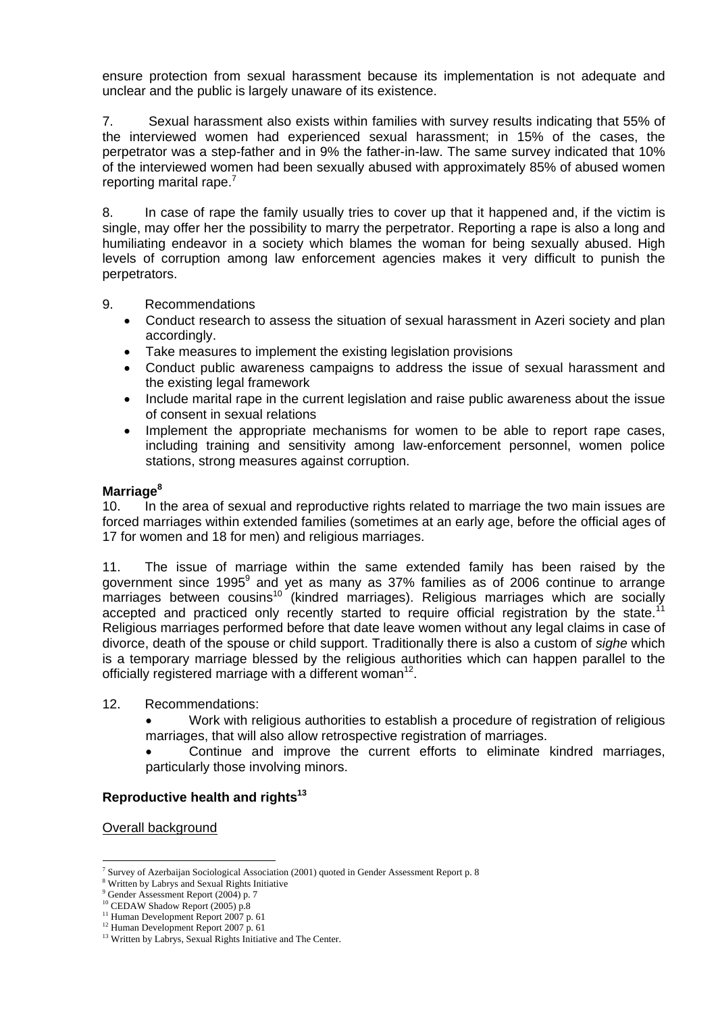ensure protection from sexual harassment because its implementation is not adequate and unclear and the public is largely unaware of its existence.

7. Sexual harassment also exists within families with survey results indicating that 55% of the interviewed women had experienced sexual harassment; in 15% of the cases, the perpetrator was a step-father and in 9% the father-in-law. The same survey indicated that 10% of the interviewed women had been sexually abused with approximately 85% of abused women reporting marital rape. $7$ 

8. In case of rape the family usually tries to cover up that it happened and, if the victim is single, may offer her the possibility to marry the perpetrator. Reporting a rape is also a long and humiliating endeavor in a society which blames the woman for being sexually abused. High levels of corruption among law enforcement agencies makes it very difficult to punish the perpetrators.

#### 9. Recommendations

- Conduct research to assess the situation of sexual harassment in Azeri society and plan accordingly.
- Take measures to implement the existing legislation provisions
- Conduct public awareness campaigns to address the issue of sexual harassment and the existing legal framework
- Include marital rape in the current legislation and raise public awareness about the issue of consent in sexual relations
- Implement the appropriate mechanisms for women to be able to report rape cases, including training and sensitivity among law-enforcement personnel, women police stations, strong measures against corruption.

## **Marriage<sup>8</sup>**

10. In the area of sexual and reproductive rights related to marriage the two main issues are forced marriages within extended families (sometimes at an early age, before the official ages of 17 for women and 18 for men) and religious marriages.

11. The issue of marriage within the same extended family has been raised by the government since 1995 $9$  and yet as many as 37% families as of 2006 continue to arrange marriages between cousins<sup>10</sup> (kindred marriages). Religious marriages which are socially accepted and practiced only recently started to require official registration by the state.<sup>11</sup> Religious marriages performed before that date leave women without any legal claims in case of divorce, death of the spouse or child support. Traditionally there is also a custom of *sighe* which is a temporary marriage blessed by the religious authorities which can happen parallel to the officially registered marriage with a different woman<sup>12</sup>.

#### 12. Recommendations:

- Work with religious authorities to establish a procedure of registration of religious marriages, that will also allow retrospective registration of marriages.
- Continue and improve the current efforts to eliminate kindred marriages, particularly those involving minors.

## **Reproductive health and rights<sup>13</sup>**

Overall background

 $\overline{a}$ 7 Survey of Azerbaijan Sociological Association (2001) quoted in Gender Assessment Report p. 8 8

Written by Labrys and Sexual Rights Initiative

<sup>9</sup> Gender Assessment Report (2004) p. 7

<sup>&</sup>lt;sup>10</sup> CEDAW Shadow Report (2005) p.8

<sup>&</sup>lt;sup>11</sup> Human Development Report 2007 p. 61

<sup>&</sup>lt;sup>12</sup> Human Development Report 2007 p. 61

<sup>&</sup>lt;sup>13</sup> Written by Labrys, Sexual Rights Initiative and The Center.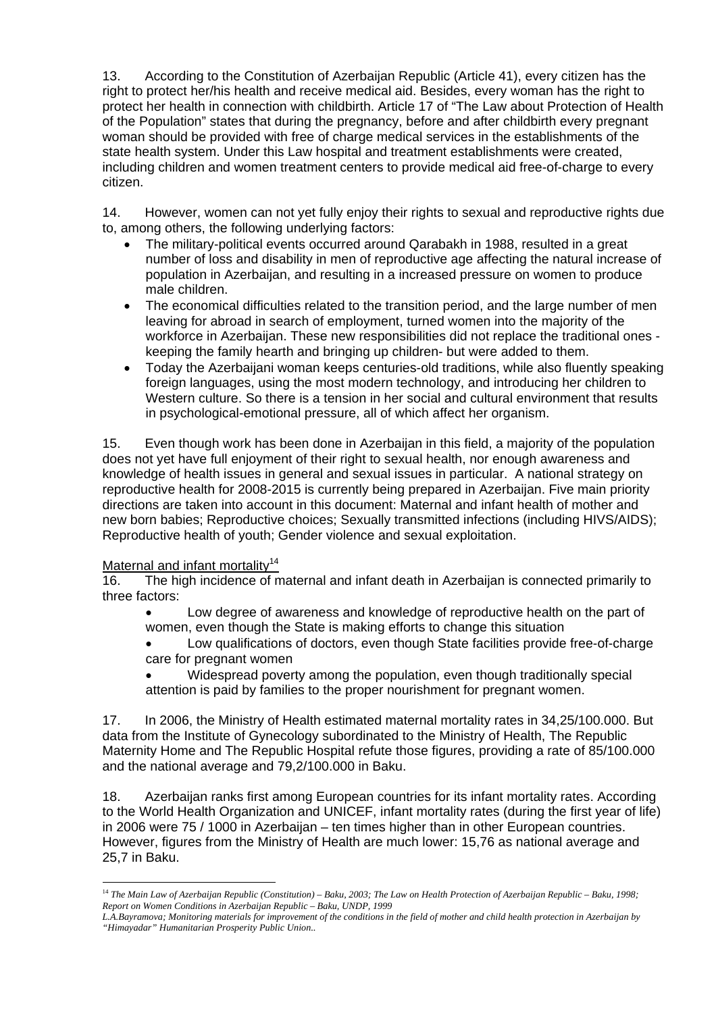13. According to the Constitution of Azerbaijan Republic (Article 41), every citizen has the right to protect her/his health and receive medical aid. Besides, every woman has the right to protect her health in connection with childbirth. Article 17 of "The Law about Protection of Health of the Population" states that during the pregnancy, before and after childbirth every pregnant woman should be provided with free of charge medical services in the establishments of the state health system. Under this Law hospital and treatment establishments were created, including children and women treatment centers to provide medical aid free-of-charge to every citizen.

14. However, women can not yet fully enjoy their rights to sexual and reproductive rights due to, among others, the following underlying factors:

- The military-political events occurred around Qarabakh in 1988, resulted in a great number of loss and disability in men of reproductive age affecting the natural increase of population in Azerbaijan, and resulting in a increased pressure on women to produce male children.
- The economical difficulties related to the transition period, and the large number of men leaving for abroad in search of employment, turned women into the majority of the workforce in Azerbaijan. These new responsibilities did not replace the traditional ones keeping the family hearth and bringing up children- but were added to them.
- Today the Azerbaijani woman keeps centuries-old traditions, while also fluently speaking foreign languages, using the most modern technology, and introducing her children to Western culture. So there is a tension in her social and cultural environment that results in psychological-emotional pressure, all of which affect her organism.

15. Even though work has been done in Azerbaijan in this field, a majority of the population does not yet have full enjoyment of their right to sexual health, nor enough awareness and knowledge of health issues in general and sexual issues in particular. A national strategy on reproductive health for 2008-2015 is currently being prepared in Azerbaijan. Five main priority directions are taken into account in this document: Maternal and infant health of mother and new born babies; Reproductive choices; Sexually transmitted infections (including HIVS/AIDS); Reproductive health of youth; Gender violence and sexual exploitation.

## Maternal and infant mortality<sup>14</sup>

 $\overline{a}$ 

16. The high incidence of maternal and infant death in Azerbaijan is connected primarily to three factors:

• Low degree of awareness and knowledge of reproductive health on the part of women, even though the State is making efforts to change this situation

• Low qualifications of doctors, even though State facilities provide free-of-charge care for pregnant women

• Widespread poverty among the population, even though traditionally special attention is paid by families to the proper nourishment for pregnant women.

17. In 2006, the Ministry of Health estimated maternal mortality rates in 34,25/100.000. But data from the Institute of Gynecology subordinated to the Ministry of Health, The Republic Maternity Home and The Republic Hospital refute those figures, providing a rate of 85/100.000 and the national average and 79,2/100.000 in Baku.

18. Azerbaijan ranks first among European countries for its infant mortality rates. According to the World Health Organization and UNICEF, infant mortality rates (during the first year of life) in 2006 were 75 / 1000 in Azerbaijan – ten times higher than in other European countries. However, figures from the Ministry of Health are much lower: 15,76 as national average and 25,7 in Baku.

<sup>&</sup>lt;sup>14</sup> The Main Law of Azerbaijan Republic (Constitution) – Baku, 2003; The Law on Health Protection of Azerbaijan Republic – Baku, 1998; *Report on Women Conditions in Azerbaijan Republic – Baku, UNDP, 1999* 

*L.A.Bayramova; Monitoring materials for improvement of the conditions in the field of mother and child health protection in Azerbaijan by "Himayadar" Humanitarian Prosperity Public Union..*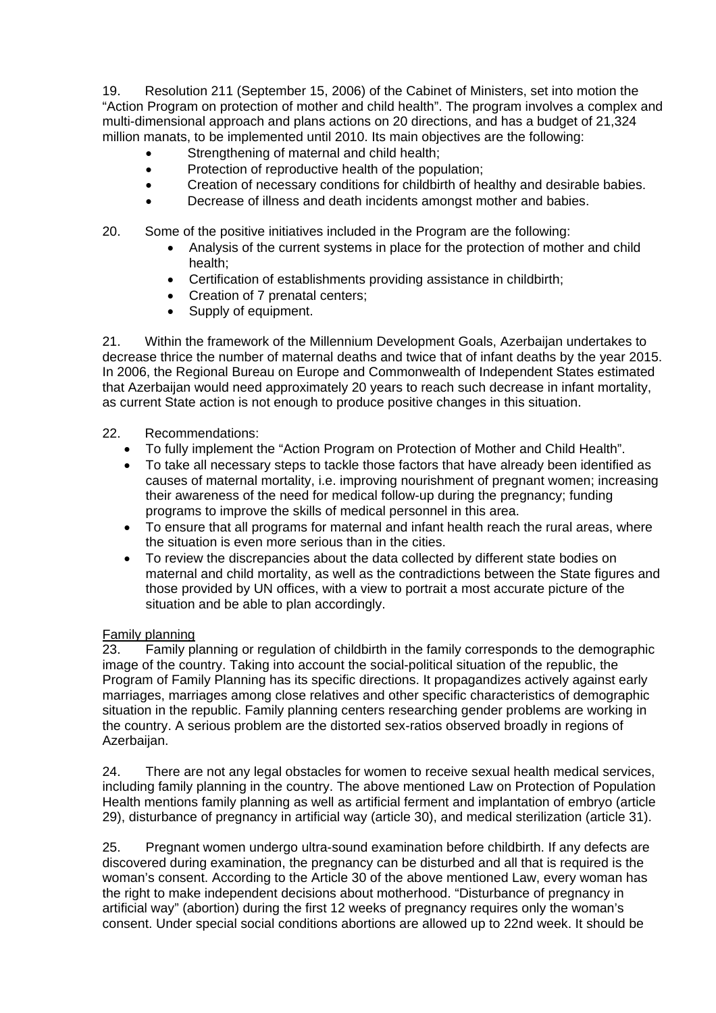19. Resolution 211 (September 15, 2006) of the Cabinet of Ministers, set into motion the "Action Program on protection of mother and child health". The program involves a complex and multi-dimensional approach and plans actions on 20 directions, and has a budget of 21,324 million manats, to be implemented until 2010. Its main objectives are the following:

- Strengthening of maternal and child health;
- Protection of reproductive health of the population;
- Creation of necessary conditions for childbirth of healthy and desirable babies.
- Decrease of illness and death incidents amongst mother and babies.
- 20. Some of the positive initiatives included in the Program are the following:
	- Analysis of the current systems in place for the protection of mother and child health;
	- Certification of establishments providing assistance in childbirth;
	- Creation of 7 prenatal centers;
	- Supply of equipment.

21. Within the framework of the Millennium Development Goals, Azerbaijan undertakes to decrease thrice the number of maternal deaths and twice that of infant deaths by the year 2015. In 2006, the Regional Bureau on Europe and Commonwealth of Independent States estimated that Azerbaijan would need approximately 20 years to reach such decrease in infant mortality, as current State action is not enough to produce positive changes in this situation.

#### 22. Recommendations:

- To fully implement the "Action Program on Protection of Mother and Child Health".
- To take all necessary steps to tackle those factors that have already been identified as causes of maternal mortality, i.e. improving nourishment of pregnant women; increasing their awareness of the need for medical follow-up during the pregnancy; funding programs to improve the skills of medical personnel in this area.
- To ensure that all programs for maternal and infant health reach the rural areas, where the situation is even more serious than in the cities.
- To review the discrepancies about the data collected by different state bodies on maternal and child mortality, as well as the contradictions between the State figures and those provided by UN offices, with a view to portrait a most accurate picture of the situation and be able to plan accordingly.

#### Family planning

23. Family planning or regulation of childbirth in the family corresponds to the demographic image of the country. Taking into account the social-political situation of the republic, the Program of Family Planning has its specific directions. It propagandizes actively against early marriages, marriages among close relatives and other specific characteristics of demographic situation in the republic. Family planning centers researching gender problems are working in the country. A serious problem are the distorted sex-ratios observed broadly in regions of Azerbaijan.

24. There are not any legal obstacles for women to receive sexual health medical services, including family planning in the country. The above mentioned Law on Protection of Population Health mentions family planning as well as artificial ferment and implantation of embryo (article 29), disturbance of pregnancy in artificial way (article 30), and medical sterilization (article 31).

25. Pregnant women undergo ultra-sound examination before childbirth. If any defects are discovered during examination, the pregnancy can be disturbed and all that is required is the woman's consent. According to the Article 30 of the above mentioned Law, every woman has the right to make independent decisions about motherhood. "Disturbance of pregnancy in artificial way" (abortion) during the first 12 weeks of pregnancy requires only the woman's consent. Under special social conditions abortions are allowed up to 22nd week. It should be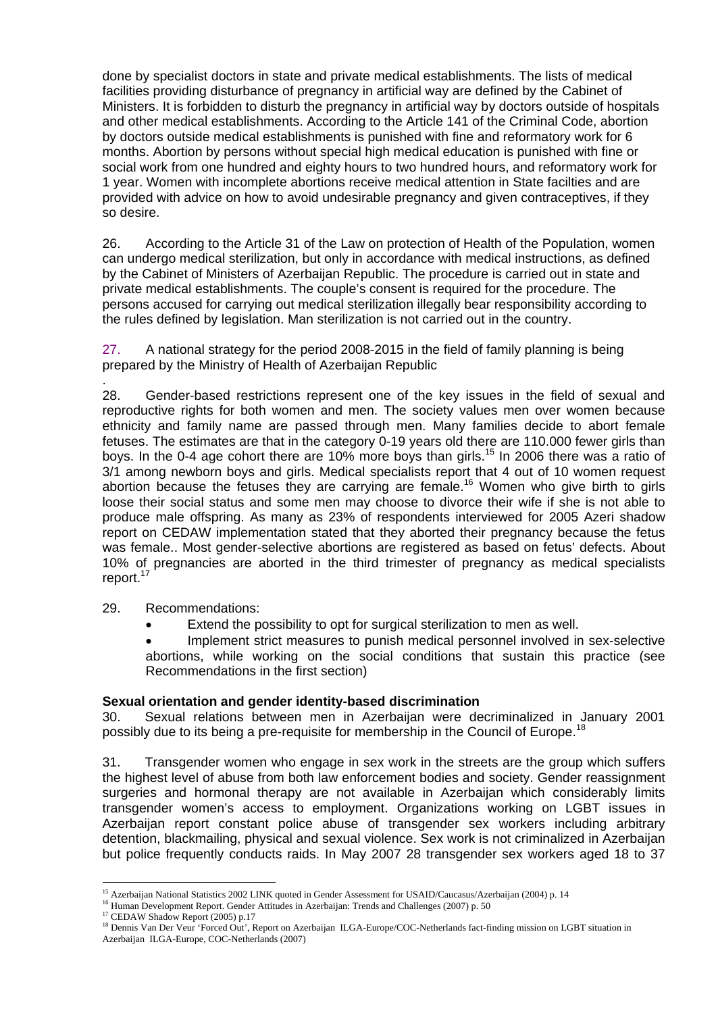done by specialist doctors in state and private medical establishments. The lists of medical facilities providing disturbance of pregnancy in artificial way are defined by the Cabinet of Ministers. It is forbidden to disturb the pregnancy in artificial way by doctors outside of hospitals and other medical establishments. According to the Article 141 of the Criminal Code, abortion by doctors outside medical establishments is punished with fine and reformatory work for 6 months. Abortion by persons without special high medical education is punished with fine or social work from one hundred and eighty hours to two hundred hours, and reformatory work for 1 year. Women with incomplete abortions receive medical attention in State facilties and are provided with advice on how to avoid undesirable pregnancy and given contraceptives, if they so desire.

26. According to the Article 31 of the Law on protection of Health of the Population, women can undergo medical sterilization, but only in accordance with medical instructions, as defined by the Cabinet of Ministers of Azerbaijan Republic. The procedure is carried out in state and private medical establishments. The couple's consent is required for the procedure. The persons accused for carrying out medical sterilization illegally bear responsibility according to the rules defined by legislation. Man sterilization is not carried out in the country.

27. A national strategy for the period 2008-2015 in the field of family planning is being prepared by the Ministry of Health of Azerbaijan Republic

. 28. Gender-based restrictions represent one of the key issues in the field of sexual and reproductive rights for both women and men. The society values men over women because ethnicity and family name are passed through men. Many families decide to abort female fetuses. The estimates are that in the category 0-19 years old there are 110.000 fewer girls than boys. In the 0-4 age cohort there are 10% more boys than girls.<sup>15</sup> In 2006 there was a ratio of 3/1 among newborn boys and girls. Medical specialists report that 4 out of 10 women request abortion because the fetuses they are carrying are female.16 Women who give birth to girls loose their social status and some men may choose to divorce their wife if she is not able to produce male offspring. As many as 23% of respondents interviewed for 2005 Azeri shadow report on CEDAW implementation stated that they aborted their pregnancy because the fetus was female.. Most gender-selective abortions are registered as based on fetus' defects. About 10% of pregnancies are aborted in the third trimester of pregnancy as medical specialists report.<sup>17</sup>

29. Recommendations:

• Extend the possibility to opt for surgical sterilization to men as well.

• Implement strict measures to punish medical personnel involved in sex-selective abortions, while working on the social conditions that sustain this practice (see Recommendations in the first section)

## **Sexual orientation and gender identity-based discrimination**

30. Sexual relations between men in Azerbaijan were decriminalized in January 2001 possibly due to its being a pre-requisite for membership in the Council of Europe.<sup>18</sup>

31. Transgender women who engage in sex work in the streets are the group which suffers the highest level of abuse from both law enforcement bodies and society. Gender reassignment surgeries and hormonal therapy are not available in Azerbaijan which considerably limits transgender women's access to employment. Organizations working on LGBT issues in Azerbaijan report constant police abuse of transgender sex workers including arbitrary detention, blackmailing, physical and sexual violence. Sex work is not criminalized in Azerbaijan but police frequently conducts raids. In May 2007 28 transgender sex workers aged 18 to 37

 $\overline{a}$ 

<sup>&</sup>lt;sup>15</sup> Azerbaijan National Statistics 2002 LINK quoted in Gender Assessment for USAID/Caucasus/Azerbaijan (2004) p. 14<br><sup>16</sup> Human Development Report. Gender Attitudes in Azerbaijan: Trends and Challenges (2007) p. 50<br><sup>17</sup> C

<sup>&</sup>lt;sup>17</sup> CEDAW Shadow Report (2005) p.17<br><sup>18</sup> Dennis Van Der Veur 'Forced Out', Report on Azerbaijan ILGA-Europe/COC-Netherlands fact-finding mission on LGBT situation in Azerbaijan ILGA-Europe, COC-Netherlands (2007)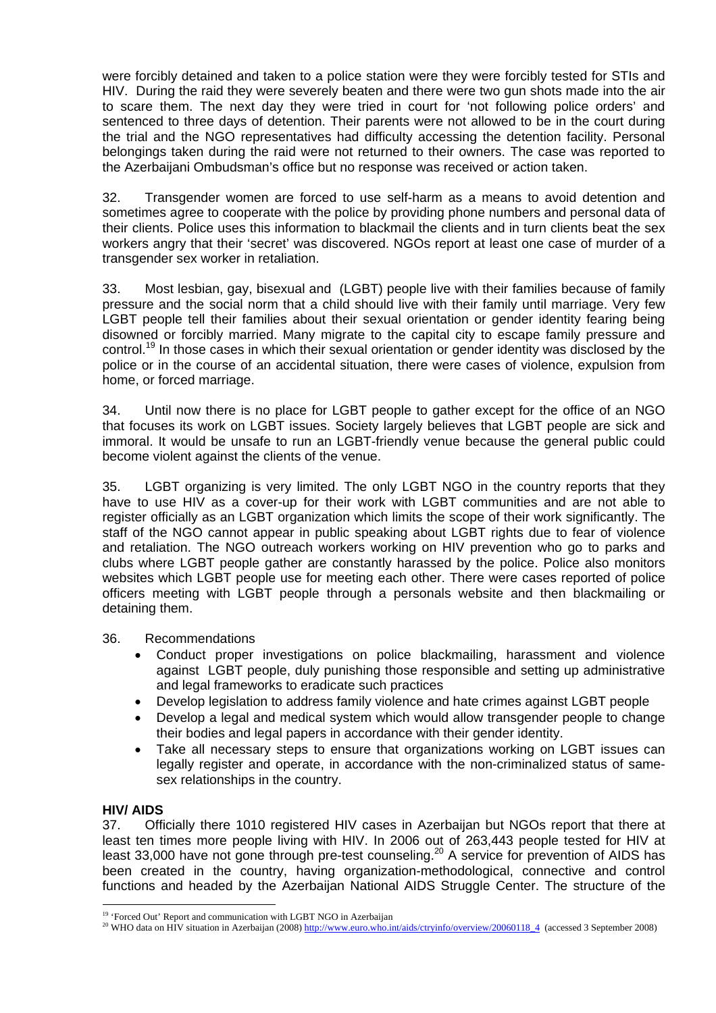were forcibly detained and taken to a police station were they were forcibly tested for STIs and HIV. During the raid they were severely beaten and there were two gun shots made into the air to scare them. The next day they were tried in court for 'not following police orders' and sentenced to three days of detention. Their parents were not allowed to be in the court during the trial and the NGO representatives had difficulty accessing the detention facility. Personal belongings taken during the raid were not returned to their owners. The case was reported to the Azerbaijani Ombudsman's office but no response was received or action taken.

32. Transgender women are forced to use self-harm as a means to avoid detention and sometimes agree to cooperate with the police by providing phone numbers and personal data of their clients. Police uses this information to blackmail the clients and in turn clients beat the sex workers angry that their 'secret' was discovered. NGOs report at least one case of murder of a transgender sex worker in retaliation.

33. Most lesbian, gay, bisexual and (LGBT) people live with their families because of family pressure and the social norm that a child should live with their family until marriage. Very few LGBT people tell their families about their sexual orientation or gender identity fearing being disowned or forcibly married. Many migrate to the capital city to escape family pressure and control.19 In those cases in which their sexual orientation or gender identity was disclosed by the police or in the course of an accidental situation, there were cases of violence, expulsion from home, or forced marriage.

34. Until now there is no place for LGBT people to gather except for the office of an NGO that focuses its work on LGBT issues. Society largely believes that LGBT people are sick and immoral. It would be unsafe to run an LGBT-friendly venue because the general public could become violent against the clients of the venue.

35. LGBT organizing is very limited. The only LGBT NGO in the country reports that they have to use HIV as a cover-up for their work with LGBT communities and are not able to register officially as an LGBT organization which limits the scope of their work significantly. The staff of the NGO cannot appear in public speaking about LGBT rights due to fear of violence and retaliation. The NGO outreach workers working on HIV prevention who go to parks and clubs where LGBT people gather are constantly harassed by the police. Police also monitors websites which LGBT people use for meeting each other. There were cases reported of police officers meeting with LGBT people through a personals website and then blackmailing or detaining them.

## 36. Recommendations

- Conduct proper investigations on police blackmailing, harassment and violence against LGBT people, duly punishing those responsible and setting up administrative and legal frameworks to eradicate such practices
- Develop legislation to address family violence and hate crimes against LGBT people
- Develop a legal and medical system which would allow transgender people to change their bodies and legal papers in accordance with their gender identity.
- Take all necessary steps to ensure that organizations working on LGBT issues can legally register and operate, in accordance with the non-criminalized status of samesex relationships in the country.

# **HIV/ AIDS**

37. Officially there 1010 registered HIV cases in Azerbaijan but NGOs report that there at least ten times more people living with HIV. In 2006 out of 263,443 people tested for HIV at least 33,000 have not gone through pre-test counseling.<sup>20</sup> A service for prevention of AIDS has been created in the country, having organization-methodological, connective and control functions and headed by the Azerbaijan National AIDS Struggle Center. The structure of the

 $\overline{a}$ <sup>19</sup> 'Forced Out' Report and communication with LGBT NGO in Azerbaijan

<sup>&</sup>lt;sup>20</sup> WHO data on HIV situation in Azerbaijan (2008) http://www.euro.who.int/aids/ctryinfo/overview/20060118\_4 (accessed 3 September 2008)